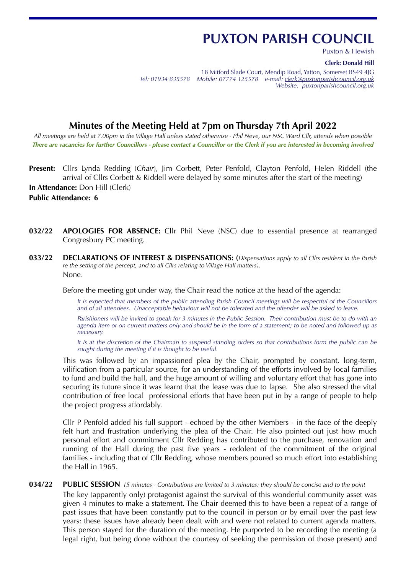# **PUXTON PARISH COUNCIL**

Puxton & Hewish

**Clerk: Donald Hill**

18 Mitford Slade Court, Mendip Road, Yatton, Somerset BS49 4JG *Tel: 01934 835578 Mobile: 07774 125578 e-mail: [clerk@puxtonparishcouncil.org.uk](mailto:clerk@puxtonparishcouncil.org.uk) Website: puxtonparishcouncil.org.uk*

# **Minutes of the Meeting Held at 7pm on Thursday 7th April 2022**

*All meetings are held at 7.00pm in the Village Hall unless stated otherwise - Phil Neve, our NSC Ward Cllr, attends when possible There are vacancies for further Councillors - please contact a Councillor or the Clerk if you are interested in becoming involved* 

**Present:** Cllrs Lynda Redding (*Chair*), Jim Corbett, Peter Penfold, Clayton Penfold, Helen Riddell (the arrival of Cllrs Corbett & Riddell were delayed by some minutes after the start of the meeting)

**In Attendance:** Don Hill (Clerk)

**Public Attendance: 6**

- **032/22 APOLOGIES FOR ABSENCE:** Cllr Phil Neve (NSC) due to essential presence at rearranged Congresbury PC meeting.
- **033/22 DECLARATIONS OF INTEREST & DISPENSATIONS: (***Dispensations apply to all Cllrs resident in the Parish re the setting of the percept, and to all Cllrs relating to Village Hall matters).* None*.*

Before the meeting got under way, the Chair read the notice at the head of the agenda:

*It is expected that members of the public attending Parish Council meetings will be respectful of the Councillors and of all attendees. Unacceptable behaviour will not be tolerated and the offender will be asked to leave.* 

Parishioners will be invited to speak for 3 minutes in the Public Session. Their contribution must be to do with an *agenda item or on current matters only and should be in the form of a statement; to be noted and followed up as necessary.*

*It is at the discretion of the Chairman to suspend standing orders so that contributions form the public can be sought during the meeting if it is thought to be useful.*

This was followed by an impassioned plea by the Chair, prompted by constant, long-term, vilification from a particular source, for an understanding of the efforts involved by local families to fund and build the hall, and the huge amount of willing and voluntary effort that has gone into securing its future since it was learnt that the lease was due to lapse. She also stressed the vital contribution of free local professional efforts that have been put in by a range of people to help the project progress affordably.

Cllr P Penfold added his full support - echoed by the other Members - in the face of the deeply felt hurt and frustration underlying the plea of the Chair. He also pointed out just how much personal effort and commitment Cllr Redding has contributed to the purchase, renovation and running of the Hall during the past five years - redolent of the commitment of the original families - including that of Cllr Redding, whose members poured so much effort into establishing the Hall in 1965.

#### **034/22 PUBLIC SESSION** *15 minutes - Contributions are limited to 3 minutes: they should be concise and to the point*

The key (apparently only) protagonist against the survival of this wonderful community asset was given 4 minutes to make a statement. The Chair deemed this to have been a repeat of a range of past issues that have been constantly put to the council in person or by email over the past few years: these issues have already been dealt with and were not related to current agenda matters. This person stayed for the duration of the meeting. He purported to be recording the meeting (a legal right, but being done without the courtesy of seeking the permission of those present) and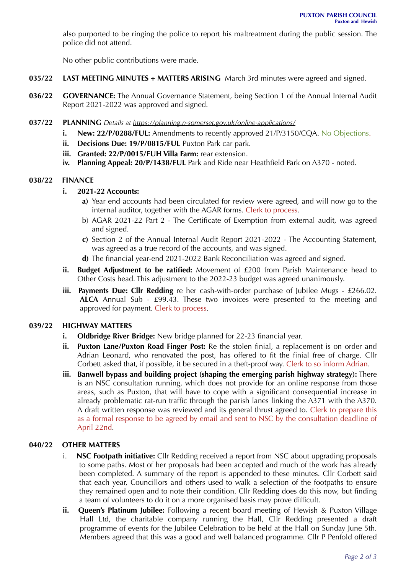also purported to be ringing the police to report his maltreatment during the public session. The police did not attend.

No other public contributions were made.

- **035/22 LAST MEETING MINUTES + MATTERS ARISING** March 3rd minutes were agreed and signed.
- **036/22 GOVERNANCE:** The Annual Governance Statement, being Section 1 of the Annual Internal Audit Report 2021-2022 was approved and signed.
- **037/22 PLANNING** *Details at<https://planning.n-somerset.gov.uk/online-applications/>*
	- **i. New: 22/P/0288/FUL:** Amendments to recently approved 21/P/3150/CQA. No Objections.
	- **ii.** Decisions Due: 19/P/0815/FUL Puxton Park car park.
	- **iii. Granted: 22/P/0015/FUH Villa Farm:** rear extension.
	- **iv. Planning Appeal: 20/P/1438/FUL** Park and Ride near Heathfield Park on A370 noted.

#### **038/22 FINANCE**

#### **i. 2021-22 Accounts:**

- **a)** Year end accounts had been circulated for review were agreed, and will now go to the internal auditor, together with the AGAR forms. Clerk to process.
- b) AGAR 2021-22 Part 2 The Certificate of Exemption from external audit, was agreed and signed.
- **c)** Section 2 of the Annual Internal Audit Report 2021-2022 The Accounting Statement, was agreed as a true record of the accounts, and was signed.
- **d)** The financial year-end 2021-2022 Bank Reconciliation was agreed and signed.
- **ii. Budget Adjustment to be ratified:** Movement of £200 from Parish Maintenance head to Other Costs head. This adjustment to the 2022-23 budget was agreed unanimously.
- **iii.** Payments Due: Cllr Redding re her cash-with-order purchase of Jubilee Mugs £266.02. **ALCA** Annual Sub - £99.43. These two invoices were presented to the meeting and approved for payment. Clerk to process.

#### **039/22 HIGHWAY MATTERS**

- **i. Oldbridge River Bridge:** New bridge planned for 22-23 financial year.
- **ii. Puxton Lane/Puxton Road Finger Post:** Re the stolen finial, a replacement is on order and Adrian Leonard, who renovated the post, has offered to fit the finial free of charge. Cllr Corbett asked that, if possible, it be secured in a theft-proof way. Clerk to so inform Adrian.
- **iii. Banwell bypass and building project (shaping the emerging parish highway strategy):** There is an NSC consultation running, which does not provide for an online response from those areas, such as Puxton, that will have to cope with a significant consequential increase in already problematic rat-run traffic through the parish lanes linking the A371 with the A370. A draft written response was reviewed and its general thrust agreed to. Clerk to prepare this as a formal response to be agreed by email and sent to NSC by the consultation deadline of April 22nd.

### **040/22 OTHER MATTERS**

- i. **NSC Footpath initiative:** Cllr Redding received a report from NSC about upgrading proposals to some paths. Most of her proposals had been accepted and much of the work has already been completed. A summary of the report is appended to these minutes. Cllr Corbett said that each year, Councillors and others used to walk a selection of the footpaths to ensure they remained open and to note their condition. Cllr Redding does do this now, but finding a team of volunteers to do it on a more organised basis may prove difficult.
- **ii.** Queen's Platinum Jubilee: Following a recent board meeting of Hewish & Puxton Village Hall Ltd, the charitable company running the Hall, Cllr Redding presented a draft programme of events for the Jubilee Celebration to be held at the Hall on Sunday June 5th. Members agreed that this was a good and well balanced programme. Cllr P Penfold offered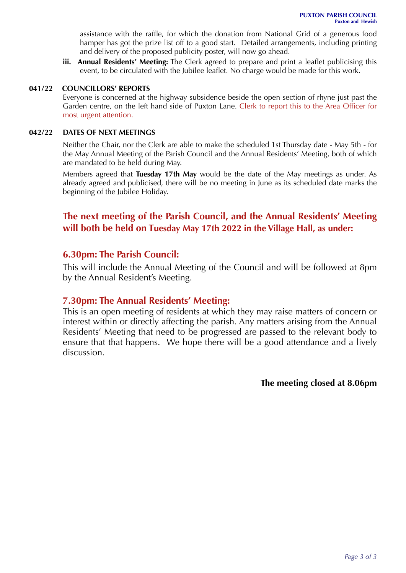assistance with the raffle, for which the donation from National Grid of a generous food hamper has got the prize list off to a good start. Detailed arrangements, including printing and delivery of the proposed publicity poster, will now go ahead.

**iii. Annual Residents' Meeting:** The Clerk agreed to prepare and print a leaflet publicising this event, to be circulated with the Jubilee leaflet. No charge would be made for this work.

### **041/22 COUNCILLORS' REPORTS**

Everyone is concerned at the highway subsidence beside the open section of rhyne just past the Garden centre, on the left hand side of Puxton Lane. Clerk to report this to the Area Officer for most urgent attention.

#### **042/22 DATES OF NEXT MEETINGS**

Neither the Chair, nor the Clerk are able to make the scheduled 1st Thursday date - May 5th - for the May Annual Meeting of the Parish Council and the Annual Residents' Meeting, both of which are mandated to be held during May.

Members agreed that **Tuesday 17th May** would be the date of the May meetings as under. As already agreed and publicised, there will be no meeting in June as its scheduled date marks the beginning of the Jubilee Holiday.

## **The next meeting of the Parish Council, and the Annual Residents' Meeting will both be held on Tuesday May 17th 2022 in the Village Hall, as under:**

### **6.30pm: The Parish Council:**

This will include the Annual Meeting of the Council and will be followed at 8pm by the Annual Resident's Meeting.

### **7.30pm: The Annual Residents' Meeting:**

This is an open meeting of residents at which they may raise matters of concern or interest within or directly affecting the parish. Any matters arising from the Annual Residents' Meeting that need to be progressed are passed to the relevant body to ensure that that happens. We hope there will be a good attendance and a lively discussion.

**The meeting closed at 8.06pm**